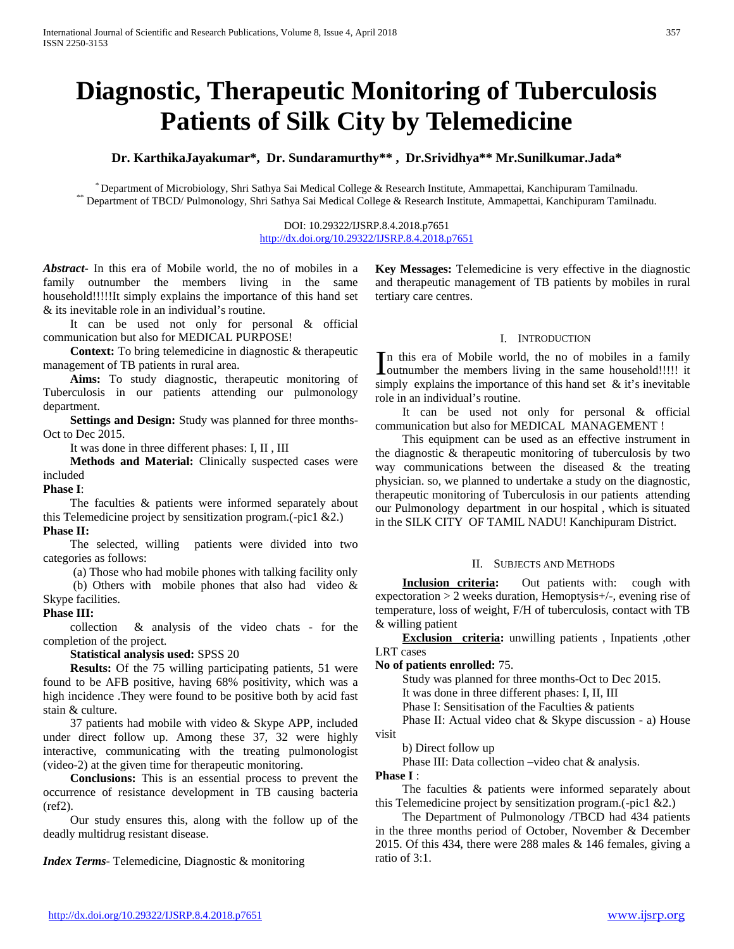# **Diagnostic, Therapeutic Monitoring of Tuberculosis Patients of Silk City by Telemedicine**

**Dr. KarthikaJayakumar\*, Dr. Sundaramurthy\*\* , Dr.Srividhya\*\* Mr.Sunilkumar.Jada\***

 $*$ Department of Microbiology, Shri Sathya Sai Medical College & Research Institute, Ammapettai, Kanchipuram Tamilnadu.<br>\*\* Department of TBCD/Pulmonology, Shri Sathya Sai Medical College & Research Institute, Ammapettai,

DOI: 10.29322/IJSRP.8.4.2018.p7651 <http://dx.doi.org/10.29322/IJSRP.8.4.2018.p7651>

*Abstract***-** In this era of Mobile world, the no of mobiles in a family outnumber the members living in the same household!!!!!It simply explains the importance of this hand set & its inevitable role in an individual's routine.

It can be used not only for personal & official communication but also for MEDICAL PURPOSE!

**Context:** To bring telemedicine in diagnostic & therapeutic management of TB patients in rural area.

 **Aims:** To study diagnostic, therapeutic monitoring of Tuberculosis in our patients attending our pulmonology department.

 **Settings and Design:** Study was planned for three months-Oct to Dec 2015.

It was done in three different phases: I, II , III

 **Methods and Material:** Clinically suspected cases were included

**Phase I**:

The faculties & patients were informed separately about this Telemedicine project by sensitization program.(-pic1 &2.) **Phase II:**

The selected, willing patients were divided into two categories as follows:

(a) Those who had mobile phones with talking facility only (b) Others with mobile phones that also had video &

Skype facilities.

**Phase III:**

collection & analysis of the video chats - for the completion of the project.

 **Statistical analysis used:** SPSS 20

 **Results:** Of the 75 willing participating patients, 51 were found to be AFB positive, having 68% positivity, which was a high incidence .They were found to be positive both by acid fast stain & culture.

37 patients had mobile with video & Skype APP, included under direct follow up. Among these 37, 32 were highly interactive, communicating with the treating pulmonologist (video-2) at the given time for therapeutic monitoring.

 **Conclusions:** This is an essential process to prevent the occurrence of resistance development in TB causing bacteria (ref2).

Our study ensures this, along with the follow up of the deadly multidrug resistant disease.

*Index Terms*- Telemedicine, Diagnostic & monitoring

**Key Messages:** Telemedicine is very effective in the diagnostic and therapeutic management of TB patients by mobiles in rural tertiary care centres.

#### I. INTRODUCTION

n this era of Mobile world, the no of mobiles in a family In this era of Mobile world, the no of mobiles in a family outnumber the members living in the same household!!!!! it simply explains the importance of this hand set  $\&$  it's inevitable role in an individual's routine.

 It can be used not only for personal & official communication but also for MEDICAL MANAGEMENT !

 This equipment can be used as an effective instrument in the diagnostic & therapeutic monitoring of tuberculosis by two way communications between the diseased & the treating physician. so, we planned to undertake a study on the diagnostic, therapeutic monitoring of Tuberculosis in our patients attending our Pulmonology department in our hospital , which is situated in the SILK CITY OF TAMIL NADU! Kanchipuram District.

## II. SUBJECTS AND METHODS

**Inclusion criteria:** Out patients with: cough with expectoration > 2 weeks duration, Hemoptysis+/-, evening rise of temperature, loss of weight, F/H of tuberculosis, contact with TB & willing patient

**Exclusion criteria:** unwilling patients, Inpatients, other LRT cases

**No of patients enrolled:** 75.

Study was planned for three months-Oct to Dec 2015.

It was done in three different phases: I, II, III

Phase I: Sensitisation of the Faculties & patients

 Phase II: Actual video chat & Skype discussion - a) House visit

b) Direct follow up

Phase III: Data collection –video chat & analysis.

**Phase I** :

 The faculties & patients were informed separately about this Telemedicine project by sensitization program.(-pic1 &2.)

 The Department of Pulmonology /TBCD had 434 patients in the three months period of October, November & December 2015. Of this 434, there were 288 males & 146 females, giving a ratio of 3:1.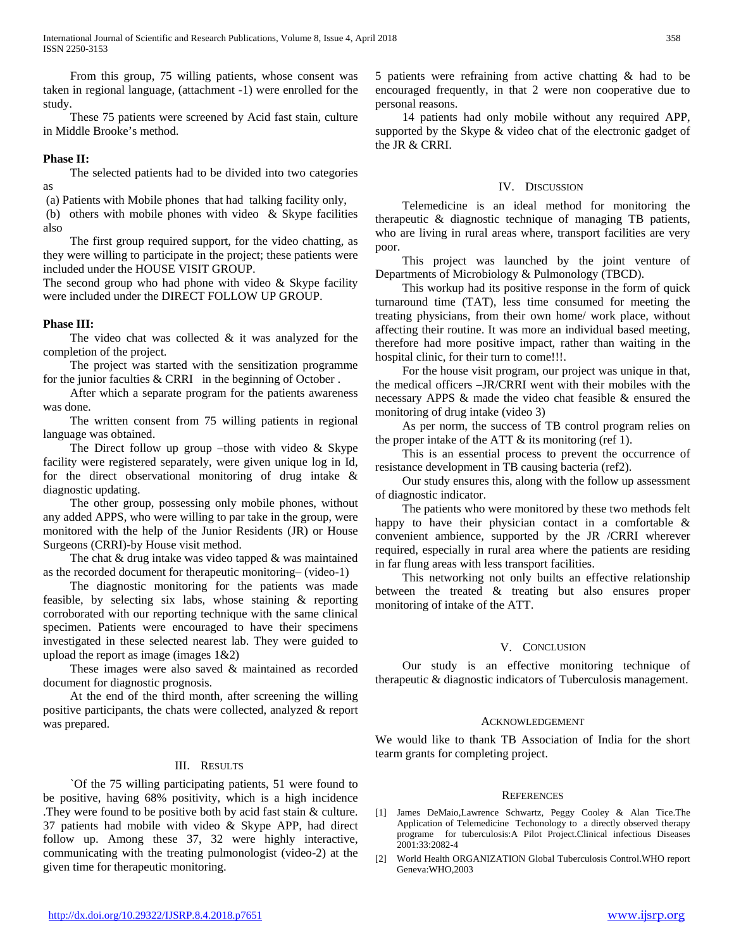From this group, 75 willing patients, whose consent was taken in regional language, (attachment -1) were enrolled for the study.

 These 75 patients were screened by Acid fast stain, culture in Middle Brooke's method.

## **Phase II:**

 The selected patients had to be divided into two categories as

(a) Patients with Mobile phones that had talking facility only,

(b) others with mobile phones with video & Skype facilities also

 The first group required support, for the video chatting, as they were willing to participate in the project; these patients were included under the HOUSE VISIT GROUP.

The second group who had phone with video  $&$  Skype facility were included under the DIRECT FOLLOW UP GROUP.

## **Phase III:**

 The video chat was collected & it was analyzed for the completion of the project.

 The project was started with the sensitization programme for the junior faculties & CRRI in the beginning of October .

 After which a separate program for the patients awareness was done.

 The written consent from 75 willing patients in regional language was obtained.

 The Direct follow up group –those with video & Skype facility were registered separately, were given unique log in Id, for the direct observational monitoring of drug intake & diagnostic updating.

 The other group, possessing only mobile phones, without any added APPS, who were willing to par take in the group, were monitored with the help of the Junior Residents (JR) or House Surgeons (CRRI)-by House visit method.

 The chat & drug intake was video tapped & was maintained as the recorded document for therapeutic monitoring– (video-1)

 The diagnostic monitoring for the patients was made feasible, by selecting six labs, whose staining & reporting corroborated with our reporting technique with the same clinical specimen. Patients were encouraged to have their specimens investigated in these selected nearest lab. They were guided to upload the report as image (images  $1&2$ )

 These images were also saved & maintained as recorded document for diagnostic prognosis.

 At the end of the third month, after screening the willing positive participants, the chats were collected, analyzed & report was prepared.

## III. RESULTS

 `Of the 75 willing participating patients, 51 were found to be positive, having 68% positivity, which is a high incidence .They were found to be positive both by acid fast stain & culture. 37 patients had mobile with video & Skype APP, had direct follow up. Among these 37, 32 were highly interactive, communicating with the treating pulmonologist (video-2) at the given time for therapeutic monitoring.

5 patients were refraining from active chatting & had to be encouraged frequently, in that 2 were non cooperative due to personal reasons.

 14 patients had only mobile without any required APP, supported by the Skype & video chat of the electronic gadget of the JR & CRRI.

#### IV. DISCUSSION

 Telemedicine is an ideal method for monitoring the therapeutic & diagnostic technique of managing TB patients, who are living in rural areas where, transport facilities are very poor.

 This project was launched by the joint venture of Departments of Microbiology & Pulmonology (TBCD).

 This workup had its positive response in the form of quick turnaround time (TAT), less time consumed for meeting the treating physicians, from their own home/ work place, without affecting their routine. It was more an individual based meeting, therefore had more positive impact, rather than waiting in the hospital clinic, for their turn to come!!!.

 For the house visit program, our project was unique in that, the medical officers –JR/CRRI went with their mobiles with the necessary APPS & made the video chat feasible & ensured the monitoring of drug intake (video 3)

 As per norm, the success of TB control program relies on the proper intake of the ATT  $\&$  its monitoring (ref 1).

 This is an essential process to prevent the occurrence of resistance development in TB causing bacteria (ref2).

 Our study ensures this, along with the follow up assessment of diagnostic indicator.

 The patients who were monitored by these two methods felt happy to have their physician contact in a comfortable & convenient ambience, supported by the JR /CRRI wherever required, especially in rural area where the patients are residing in far flung areas with less transport facilities.

 This networking not only builts an effective relationship between the treated & treating but also ensures proper monitoring of intake of the ATT.

## V. CONCLUSION

 Our study is an effective monitoring technique of therapeutic & diagnostic indicators of Tuberculosis management.

#### ACKNOWLEDGEMENT

We would like to thank TB Association of India for the short tearm grants for completing project.

#### **REFERENCES**

- [1] James DeMaio,Lawrence Schwartz, Peggy Cooley & Alan Tice.The Application of Telemedicine Techonology to a directly observed therapy programe for tuberculosis:A Pilot Project.Clinical infectious Diseases 2001:33:2082-4
- [2] World Health ORGANIZATION Global Tuberculosis Control.WHO report Geneva:WHO,2003